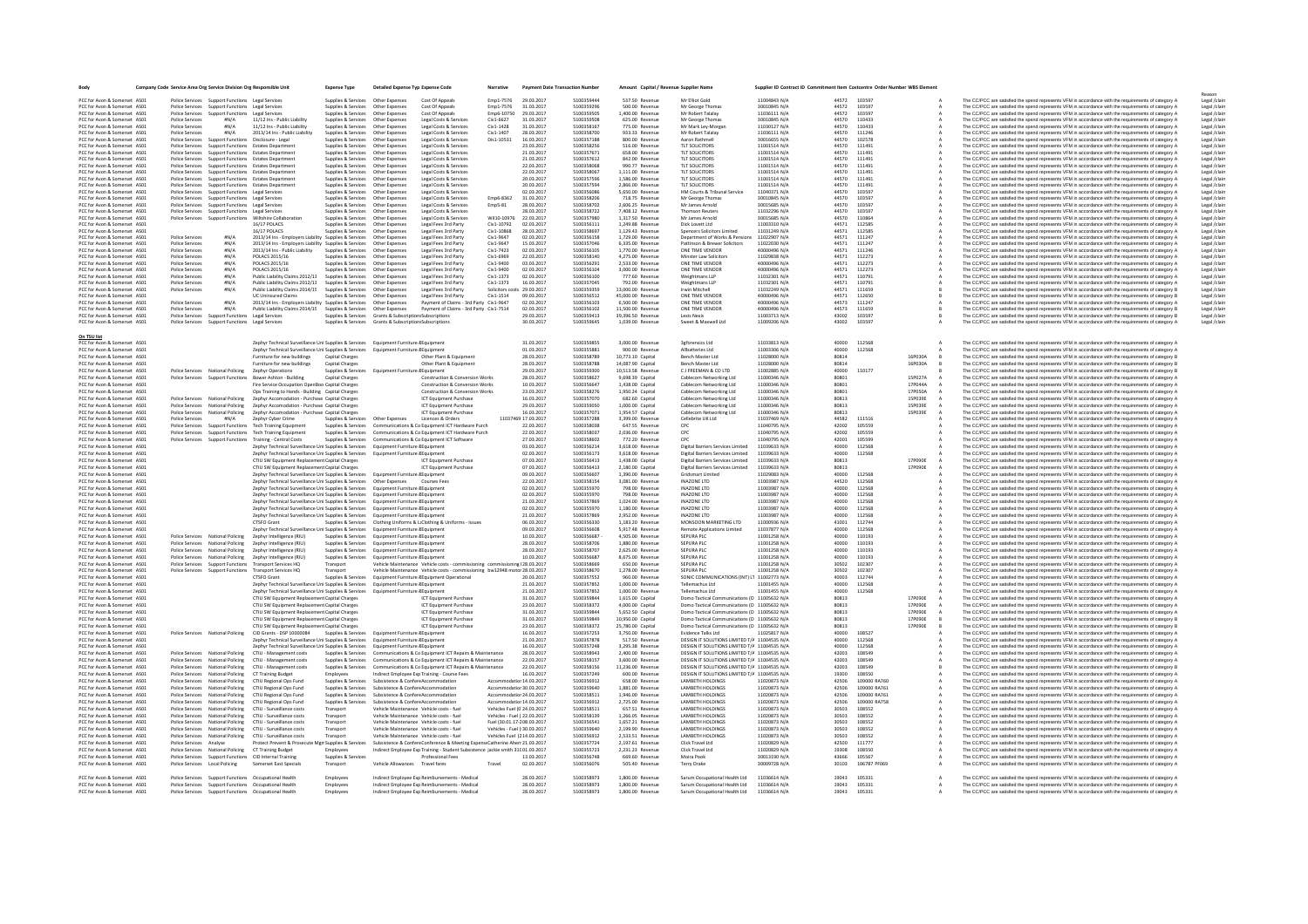| Body                                                         | Company Code Service Area Org Service Division Org Responsible Unit |                                                                        |                                                                                                                                                                                | <b>Expense Type</b>                                       | Detailed Expense Typ Expense Code                                          |                                                                                                                                                           | Narrative                                            | <b>Payment Date Transaction Number</b> |                           | Amount Capital / Revenue Supplier Name |                                                                    | Supplier ID Contract ID Commitment Item Costcentre Order Number WBS Elemen |                |                        |          |                                                                                                                                                                                                            |                              |
|--------------------------------------------------------------|---------------------------------------------------------------------|------------------------------------------------------------------------|--------------------------------------------------------------------------------------------------------------------------------------------------------------------------------|-----------------------------------------------------------|----------------------------------------------------------------------------|-----------------------------------------------------------------------------------------------------------------------------------------------------------|------------------------------------------------------|----------------------------------------|---------------------------|----------------------------------------|--------------------------------------------------------------------|----------------------------------------------------------------------------|----------------|------------------------|----------|------------------------------------------------------------------------------------------------------------------------------------------------------------------------------------------------------------|------------------------------|
| PCC for Avon & Somerset AS01                                 | Police Services                                                     | Support Functions Legal Service                                        |                                                                                                                                                                                | Supplies & Services Other Expense                         |                                                                            | Cost Of Appeal:                                                                                                                                           | Emp1-7576                                            | 29.03.2017                             | 5100359444                | 537.50 Revenue                         | Mr Elliot Gold                                                     | 11004843 N/A                                                               |                | 44572 103597           |          | The CC/PCC are satisfied the spend represents VFM in accordance with the requirements of category A                                                                                                        | Legal /clair                 |
| PCC for Ayon & Somerset AS01                                 |                                                                     | Police Services Sunnort Functions Legal Services                       |                                                                                                                                                                                | Sunnlies & Services Other Expenses                        |                                                                            | Cost Of Appeals                                                                                                                                           | Fmn1-7576                                            | 31.03.2017                             | 5100359296                | 500.00 Revenue                         | Mr George Thomas                                                   | 30010845 N/A                                                               | 44572          | 103597                 |          | The CC/PCC are satisfied the spend represents VFM in accordance with the requirements of category A                                                                                                        | Legal /clain                 |
| PCC for Avon & Somerset AS01                                 |                                                                     | Police Services Support Functions Legal Services                       |                                                                                                                                                                                | Supplies & Services                                       | Other Expenses                                                             | Cost Of Appeals                                                                                                                                           | Emp6-10750                                           | 29.03.2017                             | 5100359505                | 1,400.00 Revenue                       | Mr Robert Talalay                                                  | 11036111 N/A                                                               | 44572          | 103597                 |          | The CC/PCC are satisfied the spend represents VFM in accordance with the requirements of category A                                                                                                        | Legal /clain                 |
| PCC for Avon & Somerset AS01                                 | <b>Police Services</b>                                              |                                                                        | 11/12 Ins - Public Liability                                                                                                                                                   | Supplies & Services                                       | Other Expenses                                                             | Legal Costs & Service                                                                                                                                     | Civ1-6627                                            | 31.03.2017                             | 5100359508                | 625.00 Revenue                         | Mr George Thomas                                                   | 30010845 N/A                                                               | 44570          | 110433                 |          | The CC/PCC are satisfied the spend represents VFM in accordance with the requirements of category A                                                                                                        | Legal /clain                 |
| PCC for Avon & Somerset AS01                                 | Police Services                                                     | HN/A                                                                   | 11/12 Ins - Public Liability                                                                                                                                                   | iupplies & Services                                       | Other Expense                                                              | Legal Costs & Services                                                                                                                                    | Civ1-1428                                            | 31.03.2017                             | 5100358167                | 775.00 Revenue                         | Mr Mark Ley-Morga                                                  | 11030127 N/A                                                               | 44570          | 110433                 |          | The CC/PCC are satisfied the spend represents VFM in accordance with the requirements of category A                                                                                                        | Legal /clain                 |
| PCC for Ayon & Somerset AS01<br>PCC for Avon & Somerset AS01 | <b>Police Services</b><br><b>Police Services</b>                    | $H N/\Delta$<br><b>Support Functions</b>                               | 2013/14 Ins - Public Liability<br>Disclosure - Legal                                                                                                                           | Supplies & Services Other Expenses<br>Supplies & Services | Other Expenses                                                             | Legal Costs & Services<br>Legal Costs & Services                                                                                                          | $Civ1 - 1407$<br>Dis1-10531                          | 28.03.2017<br>16.03.2017               | 5100358700<br>5100357188  | 933.33 Revenue<br>800.00 Revenue       | Mr Robert Talalay<br>Aaron Rathmell                                | 11036111 N/A<br>30016655 N/A                                               | 44570<br>44570 | 111246<br>102578       |          | The CC/PCC are satisfied the spend represents VFM in accordance with the requirements of category A<br>The CC/PCC are satisfied the spend represents VFM in accordance with the requirements of category A | Legal /clain<br>Legal /clain |
| PCC for Avon & Somerset AS01                                 | <b>Police Services</b>                                              | <b>Support Functions</b>                                               | Estates Departmen                                                                                                                                                              | iupplies & Services                                       | Other Expenses                                                             | Legal Costs & Services                                                                                                                                    |                                                      | 23.03.2017                             | 5100358256                | 516.00 Revenue                         | <b>TLT SOLICITORS</b>                                              | 11001514 N/A                                                               | 44570          | 111491                 |          | The CC/PCC are satisfied the spend represents VFM in accordance with the requirements of category A                                                                                                        | Legal /clain                 |
| PCC for Ayon & Somerset AS01                                 | <b>Police Services</b>                                              |                                                                        | Support Functions Estates Department                                                                                                                                           | Supplies & Services Other Expenses                        |                                                                            | Legal Costs & Services                                                                                                                                    |                                                      | 21.03.2017                             | 5100357671                | 658.00 Revenue                         | TLT SOLICITORS                                                     | 11001514 N/A                                                               | 44570          | 111491                 |          | The CC/PCC are satisfied the spend represents VFM in accordance with the requirements of category A                                                                                                        | Legal /clain                 |
| PCC for Ayon & Somerset AS01                                 | <b>Police Services</b>                                              |                                                                        | Support Functions Estates Department                                                                                                                                           | Sunnlies & Services Other Expenses                        |                                                                            | Legal Costs & Services                                                                                                                                    |                                                      | 21.03.2017                             | 5100357612                | 842.00 Revenue                         | TLT SOLICITORS                                                     | 11001514 N/A                                                               | 44570          | 111491                 |          | The CC/PCC are satisfied the spend represents VFM in accordance with the requirements of category A                                                                                                        | Legal /clain                 |
| PCC for Avon & Somerset AS01                                 | <b>Police Services</b>                                              |                                                                        | Support Functions Estates Department                                                                                                                                           | Supplies & Services Other Expenses                        |                                                                            | Legal Costs & Services                                                                                                                                    |                                                      | 22.03.2017                             | 5100358068                | 990.77 Revenue                         | <b>TLT SOLICITORS</b>                                              | 11001514 N/A                                                               | 44570          | 111491                 |          | The CC/PCC are satisfied the spend represents VFM in accordance with the requirements of category A                                                                                                        | Legal /clain                 |
| PCC for Avon & Somerset AS0:<br>PCC for Ayon & Somerset AS01 | Police Services<br>Police Services                                  |                                                                        | Support Functions Estates Departmen<br>Support Functions Estates Department                                                                                                    | Supplies & Services<br>Supplies & Services                | Other Expenses<br>Other Expenses                                           | Legal Costs & Services<br>Legal Costs & Services                                                                                                          |                                                      | 22.03.2017<br>20.03.2017               | 5100358067<br>5100357596  | 1,111.00 Revenue<br>1.586.00 Revenue   | <b>TLT SOLICITORS</b><br>TLT SOLICITORS                            | 11001514 N/A<br>11001514 N/A                                               | 44570<br>44570 | 111491<br>111491       |          | The CC/PCC are satisfied the spend represents VFM in accordance with the requirements of category A<br>The CC/PCC are satisfied the spend represents VFM in accordance with the requirements of category A | Legal /clain<br>Legal /clain |
| PCC for Avon & Somerset AS01                                 |                                                                     |                                                                        | Police Services Support Functions Estates Department                                                                                                                           | Supplies & Services Other Expenses                        |                                                                            | Legal Costs & Services                                                                                                                                    |                                                      | 20.03.2017                             | 5100357594                | 2.866.00 Revenue                       | <b>TLT SOLICITORS</b>                                              | 11001514 N/A                                                               | 44570          | 111491                 |          | The CC/PCC are satisfied the spend represents VFM in accordance with the requirements of category A                                                                                                        | Legal /clain                 |
| PCC for Avon & Somerset AS01                                 |                                                                     | Police Services Support Functions Legal Services                       |                                                                                                                                                                                | Supplies & Services Other Expenses                        |                                                                            | Legal Costs & Services                                                                                                                                    |                                                      | 02.03.2017                             | 5100356086                | 5,650.00 Revenue                       | HM Courts & Tribunal Service                                       | 11040371 N/A                                                               | 44570          | 103597                 |          | The CC/PCC are satisfied the spend represents VFM in accordance with the requirements of category A                                                                                                        | Legal /clain                 |
| PCC for Avon & Somerset AS01                                 | Police Services                                                     | Support Functions Legal Services                                       |                                                                                                                                                                                | Supplies & Services                                       | Other Expenses                                                             | Legal Costs & Services                                                                                                                                    | Emp6-8362                                            | 31.03.2017                             | 510035820                 | 718.75 Revenue                         | Mr George Thomas                                                   | 30010845 N/A                                                               | 44570          | 103597                 |          | The CC/PCC are satisfied the spend represents VFM in accordance with the requirements of category A                                                                                                        | Legal /clain                 |
| PCC for Avon & Somerset AS01                                 | <b>Police Services</b>                                              | Support Functions Legal Services                                       |                                                                                                                                                                                | Supplies & Services Other Expenses                        |                                                                            | Legal Costs & Services                                                                                                                                    | Emp5-81                                              | 28.03.2017                             | 5100358702                | 2.606.25 Revenue                       | Mr James Arnold                                                    | 30015685 N/A                                                               | 44570          | 103597                 |          | The CC/PCC are satisfied the spend represents VFM in accordance with the requirements of category A                                                                                                        | Legal /clain                 |
| PCC for Avon & Somerset AS01<br>PCC for Avon & Somerset AS01 |                                                                     | Police Services Support Functions Legal Services<br>Support Functions  | Wiltshire Collaboration                                                                                                                                                        | Supplies & Services Other Expenses<br>Supplies & Services | Other Expenses                                                             | Legal Costs & Services<br>Legal Costs & Services                                                                                                          | Wil10-10976                                          | 28.03.2017<br>22.03.2017               | 5100358722<br>5100357980  | 7.408.12 Revenue<br>1.317.50 Revenue   | <b>Thomson Reuters</b><br>Mr James Arnold                          | 11032296 N/A<br>30015685 N/A                                               | 44570<br>44570 | 103597<br>110864       |          | The CC/PCC are satisfied the spend represents VFM in accordance with the requirements of category A                                                                                                        | Legal /clain<br>Legal /clain |
| PCC for Avon & Somerset AS01                                 | <b>Police Services</b>                                              |                                                                        | 16/17 POLACS                                                                                                                                                                   | Supplies & Services                                       | Other Expenses                                                             | Legal Fees 3rd Party                                                                                                                                      | Civ1-10792                                           | 02.03.2017                             | 5100356111                | 1,249.88 Revenue                       | Dick Lovett Ltd                                                    | 11003310 N/A                                                               | 44571          | 112585                 |          | The CC/PCC are satisfied the spend represents VFM in accordance with the requirements of category A<br>The CC/PCC are satisfied the spend represents VFM in accordance with the requirements of category A | Legal /clain                 |
| PCC for Avon & Somerset AS01                                 |                                                                     |                                                                        | 16/17 POLACS                                                                                                                                                                   | Supplies & Services                                       | Other Expenses                                                             | Legal Fees 3rd Party                                                                                                                                      | Civ1-10868                                           | 28.03.2017                             | 5100358697                | 1.129.43 Revenue                       | Spencers Solicitors Limited                                        | 11031249 N/A                                                               | 44571          | 112585                 |          | The CC/PCC are satisfied the spend represents VFM in accordance with the requirements of category A                                                                                                        | Legal /clain                 |
| PCC for Avon & Somerset AS01                                 | <b>Police Services</b>                                              | $H N/\Delta$                                                           | 2013/14 Ins - Employers Liability Supplies & Services                                                                                                                          |                                                           | Other Expenses                                                             | Legal Fees 3rd Party                                                                                                                                      | Civ1-9647                                            | 02.03.2017                             | 5100356158                | 1.729.00 Revenue                       | Department of Works & Pensions                                     | 11022907 N/A                                                               | 44571          | 111247                 |          | The CC/PCC are satisfied the spend represents VFM in accordance with the requirements of category A                                                                                                        | Legal /clain                 |
| PCC for Avon & Somerset AS01                                 | <b>Police Services</b>                                              | H N/A                                                                  | 2013/14 Ins - Employers Liability Supplies & Services                                                                                                                          |                                                           | Other Expenses                                                             | Legal Fees 3rd Party                                                                                                                                      | Civ1-9647                                            | 15.03.2017                             | 5100357046                | 6.335.00 Revenue                       | Pattinson & Brewer Solicitors                                      | 11022030 N/A                                                               | 44571          | 111247                 |          | The CC/PCC are satisfied the spend represents VFM in accordance with the requirements of category A                                                                                                        | Legal /clain                 |
| PCC for Avon & Somerset AS01                                 | Police Services                                                     | #N/A                                                                   | 2013/14 Ins - Public Liability                                                                                                                                                 | Supplies & Services                                       | Other Expenses                                                             | Legal Fees 3rd Party                                                                                                                                      | Civ1-7423                                            | 02.03.2017                             | 5100356105                | 1,770.00 Revenue                       | ONE TIME VENDOR                                                    | 40000496 N/A                                                               | 44571          | 111246                 |          | The CC/PCC are satisfied the spend represents VFM in accordance with the requirements of category A                                                                                                        | Legal /clain                 |
| PCC for Ayon & Somerset AS01                                 | <b>Police Services</b>                                              | $H N/\Delta$                                                           | POLACS 2015/16                                                                                                                                                                 | Supplies & Services Other Expenses                        |                                                                            | Legal Fees 3rd Party                                                                                                                                      | Civ1-6969                                            | 22.03.2017                             | 5100358140                | 4.275.00 Revenue                       | Minster Law Solicitors                                             | 11029838 N/A                                                               | 44571          | 112273                 |          | The CC/PCC are satisfied the spend represents VFM in accordance with the requirements of category A                                                                                                        | Legal /clain                 |
| PCC for Avon & Somerset AS01<br>PCC for Avon & Somerset AS01 | <b>Police Services</b><br><b>Police Services</b>                    | #N/A<br>H N/A                                                          | POLACS 2015/16<br><b>POLACS 2015/16</b>                                                                                                                                        | Supplies & Services<br>Supplies & Services                | Other Expenses<br>Other Expenses                                           | Legal Fees 3rd Party<br>Legal Fees 3rd Party                                                                                                              | Civ1-9400<br>Civ1-9400                               | 03.03.2017<br>02.03.2017               | 5100356291<br>510035610   | 2.533.00 Revenue<br>3.000.00 Revenue   | ONE TIME VENDOR<br>ONE TIME VENDOR                                 | 40000496 N/A<br>40000496 N/A                                               | 44571<br>44571 | 112273<br>112273       |          | The CC/PCC are satisfied the spend represents VFM in accordance with the requirements of category A<br>The CC/PCC are satisfied the spend represents VFM in accordance with the requirements of category A | Legal /clain<br>Legal /clain |
| PCC for Avon & Somerset AS01                                 | Police Services                                                     | H N/A                                                                  | Public Liability Claims 2012/13                                                                                                                                                | Supplies & Services                                       | Other Expenses                                                             | Legal Fees 3rd Party                                                                                                                                      | Civ1-1373                                            | 02.03.2017                             | 5100356100                | 777.60 Revenue                         | Weightmans LLP                                                     | 11032301 N/A                                                               | 44571          | 110791                 |          | The CC/PCC are satisfied the spend represents VFM in accordance with the requirements of category A                                                                                                        | Legal /clain                 |
| PCC for Avon & Somerset AS01                                 | <b>Police Services</b>                                              | #N/A                                                                   | Public Liability Claims 2012/13                                                                                                                                                | Supplies & Services                                       | Other Expenses                                                             | Legal Fees 3rd Party                                                                                                                                      | Civ1-1373                                            | 16.03.2017                             | 5100357045                | 792.00 Revenue                         | Weightmans LLP                                                     | 11032301 N/A                                                               | 44571          | 110791                 |          | The CC/PCC are satisfied the spend represents VFM in accordance with the requirements of category A                                                                                                        | Legal /clain                 |
| PCC for Avon & Somerset AS01                                 | Police Services                                                     | #N/A                                                                   | Public Liability Claims 2014/15                                                                                                                                                | Supplies & Services Other Expenses                        |                                                                            | Legal Fees 3rd Party                                                                                                                                      | Solicitors costs 29.03.2017                          |                                        | 5100359359                | 13,000.00 Revenue                      | Irwin Mitchell                                                     | 11032249 N/A                                                               | 44571          | 111659                 |          | The CC/PCC are satisfied the spend represents VFM in accordance with the requirements of category B                                                                                                        | Legal /clain                 |
| PCC for Avon & Somerset AS01                                 |                                                                     |                                                                        | <b>UC Uninsured Claims</b>                                                                                                                                                     | Supplies & Services                                       | Other Expenses                                                             | Legal Fees 3rd Party                                                                                                                                      | Civ1-1514                                            | 09.03.2017<br>02.02.2017               | 5100356512<br>\$100256102 | 45,000.00 Revenue                      | ONE TIME VENDOR<br>ONE TIME VENDOR                                 | 40000496 N/A                                                               | 44571          | 112650                 |          | The CC/PCC are satisfied the spend represents VFM in accordance with the requirements of category B                                                                                                        | Legal /clain                 |
| PCC for Avon & Somerset AS01<br>PCC for Avon & Somerset AS01 | <b>Police Services</b><br>Police Services                           | H N/A<br>#N/A                                                          | 2013/14 Ins - Employers Liability Supplies & Services<br>Public Liability Claims 2014/15 Supplies & Services Other Expenses                                                    |                                                           | Other Expenses                                                             | Payment of Claims - 3rd Party Civ1-9647<br>Payment of Claims - 3rd Party Civ1-7514                                                                        |                                                      | 02.03.2017                             | 5100356102                | 6.500.00 Revenue<br>11.500.00 Revenue  | ONE TIME VENDOR                                                    | 40000496 N/A<br>40000496 N/A                                               | 44573<br>44573 | 111247<br>111659       |          | The CC/PCC are satisfied the spend represents VFM in accordance with the requirements of category A<br>The CC/PCC are satisfied the spend represents VFM in accordance with the requirements of category B | Legal /clain<br>Legal /clain |
| PCC for Avon & Somerset AS01                                 |                                                                     | Police Services Support Functions Legal Services                       |                                                                                                                                                                                |                                                           | Supplies & Services Grants & Subscription: Subscriptions                   |                                                                                                                                                           |                                                      | 29.03.2017                             | 5100359413                | 39,396.50 Revenue                      | Lexis Nexis                                                        | 11003713 N/A                                                               | 43002          | 103597                 |          | The CC/PCC are satisfied the spend represents VFM in accordance with the requirements of category B                                                                                                        | Legal /clain                 |
| PCC for Avon & Somerset AS01                                 |                                                                     | Police Services Support Functions Legal Services                       |                                                                                                                                                                                |                                                           | Supplies & Services Grants & Subscription: Subscriptions                   |                                                                                                                                                           |                                                      | 30.03.2017                             | 5100359645                | 1.039.00 Revenue                       | Sweet & Maxwell Ltd                                                | 11009206 N/A                                                               | 43002          | 103597                 |          | The CC/PCC are satisfied the spend represents VFM in accordance with the requirements of category A                                                                                                        | Legal /clain                 |
|                                                              |                                                                     |                                                                        |                                                                                                                                                                                |                                                           |                                                                            |                                                                                                                                                           |                                                      |                                        |                           |                                        |                                                                    |                                                                            |                |                        |          |                                                                                                                                                                                                            |                              |
| On TSU list                                                  |                                                                     |                                                                        |                                                                                                                                                                                |                                                           |                                                                            |                                                                                                                                                           |                                                      |                                        |                           |                                        |                                                                    |                                                                            |                |                        |          |                                                                                                                                                                                                            |                              |
| PCC for Avon & Somerset AS01                                 |                                                                     |                                                                        | Zephyr Technical Surveillance Uni Supplies & Services Equipment Furniture & Equipmen                                                                                           |                                                           |                                                                            |                                                                                                                                                           |                                                      | 31.03.2017                             | 5100359855                | 3,000.00 Revenue                       | 3gforensics Ltd                                                    | 11033813 N/A                                                               | 40000          | 112568                 |          | The CC/PCC are satisfied the spend represents VFM in accordance with the requirements of category A                                                                                                        |                              |
| PCC for Avon & Somerset AS01                                 |                                                                     |                                                                        | Zephyr Technical Surveillance Uni Supplies & Services Equipment Furniture & Equipment                                                                                          |                                                           |                                                                            |                                                                                                                                                           |                                                      | 01.03.2017                             | 5100355881                | 900.00 Revenue                         | Allbatteries Ltd                                                   | 11003306 N/A                                                               | 40000          | 112568                 |          | The CC/PCC are satisfied the spend represents VFM in accordance with the requirements of category A                                                                                                        |                              |
| PCC for Ayon & Somerset AS01                                 |                                                                     |                                                                        | Furniture for new buildings                                                                                                                                                    | Capital Charges                                           |                                                                            | Other Plant & Foujoment                                                                                                                                   |                                                      | 28.03.2017                             | 5100358789                | 10.773.10 Canital                      | <b>Rench Master Ltd</b>                                            | 11028000 N/A                                                               | 80814          |                        | 1680304  | The CC/PCC are satisfied the spend represents VFM in accordance with the requirements of category B                                                                                                        |                              |
| PCC for Avon & Somerset AS01                                 |                                                                     |                                                                        | Furniture for new buildings                                                                                                                                                    | Capital Charges                                           |                                                                            | Other Plant & Equipment                                                                                                                                   |                                                      | 28.03.2017                             | 5100358788                | 14.087.90 Capital                      | Bench Master Ltd<br>C J FREEMAN & CO LTD                           | 11028000 N/A                                                               | 80814          | 110177                 | 16P030A  | The CC/PCC are satisfied the spend represents VFM in accordance with the requirements of category B<br>The CC/PCC are satisfied the spend represents VFM in accordance with the requirements of category B |                              |
| PCC for Avon & Somerset AS01<br>PCC for Avon & Somerset AS01 |                                                                     |                                                                        | Police Services National Policing Zephyr Operations<br>Police Services Support Functions Bower Ashton - Building                                                               | Capital Charges                                           | Supplies & Services Equipment Furniture & Equipment                        | Construction & Conversion Works                                                                                                                           |                                                      | 29.03.2017<br>28.03.2017               | 5100359300<br>5100358627  | 10.513.58 Revenue<br>9.698.39 Capital  | Cablecom Networking Ltd                                            | 11002885 N/A<br>11000346 N/A                                               | 40000<br>80801 |                        | 15P027A  | The CC/PCC are satisfied the spend represents VFM in accordance with the requirements of category A                                                                                                        |                              |
| PCC for Avon & Somerset AS01                                 |                                                                     |                                                                        | Fire Service Occupation OpenBoo Capital Charges                                                                                                                                |                                                           |                                                                            | Construction & Conversion Works                                                                                                                           |                                                      | 10.03.2017                             | 5100356647                | 1,438.00 Capital                       | Cablecom Networking Ltd                                            | 11000346 N/A                                                               | 80801          |                        | 17P044A  | The CC/PCC are satisfied the spend represents VFM in accordance with the requirements of category A                                                                                                        |                              |
| PCC for Avon & Somerset AS01                                 |                                                                     |                                                                        | Ops Training to Hands - Building Capital Charges                                                                                                                               |                                                           |                                                                            | Construction & Conversion Works                                                                                                                           |                                                      | 23.03.2017                             | 5100358276                | 1,950.24 Capital                       | Cablecom Networking Ltd                                            | 11000346 N/A                                                               | 80801          |                        | 17P050A  | The CC/PCC are satisfied the spend represents VFM in accordance with the requirements of category A                                                                                                        |                              |
| PCC for Avon & Somerset AS01                                 |                                                                     | Police Services National Policing                                      | Zephyr Accomodation - Purchase Capital Charges                                                                                                                                 |                                                           |                                                                            | <b>ICT Equipment Purchase</b>                                                                                                                             |                                                      | 16.03.2017                             | 5100357070                | 682.60 Capital                         | Cablecom Networking Ltd                                            | 11000346 N/A                                                               | 80813          |                        | 15P039E  | The CC/PCC are satisfied the spend represents VFM in accordance with the requirements of category A                                                                                                        |                              |
| PCC for Avon & Somerset AS01                                 |                                                                     | Police Services National Policing                                      | Zephyr Accomodation - Purchase Capital Charges                                                                                                                                 |                                                           |                                                                            | ICT Equipment Purchase                                                                                                                                    |                                                      | 29.03.2017                             | 5100359050                | 1,000.00 Capital                       | Cablecom Networking Ltd                                            | 11000346 N/A                                                               | 80813          |                        | 15P039E  | The CC/PCC are satisfied the spend represents VFM in accordance with the requirements of category A                                                                                                        |                              |
| PCC for Avon & Somerset AS01                                 |                                                                     | Police Services National Policing                                      | Zephyr Accomodation - Purchase Capital Charges                                                                                                                                 |                                                           |                                                                            | <b>ICT Equipment Purchase</b>                                                                                                                             |                                                      | 16.03.2017                             | 5100357071                | 1.954.57 Capital                       | Cablecom Networking Ltd                                            | 11000346 N/A                                                               | 80813          |                        | 15P039E  | The CC/PCC are satisfied the spend represents VFM in accordance with the requirements of category A                                                                                                        |                              |
| PCC for Avon & Somerset AS01                                 | <b>Police Services</b>                                              | #N/A                                                                   | Zephyr Cyber Crime                                                                                                                                                             | Supplies & Services Other Expenses                        |                                                                            | Licences & Orders                                                                                                                                         |                                                      | 11037469 17.03.2017                    | 5100357288                | 3,399.00 Revenue                       | Cellebrite UK Ltd                                                  | 11037469 N/A                                                               | 44582          | 111516                 |          | The CC/PCC are satisfied the spend represents VFM in accordance with the requirements of category A                                                                                                        |                              |
| PCC for Avon & Somerset AS01<br>PCC for Avon & Somerset AS01 |                                                                     | Police Services Support Functions                                      | <b>Tech Training Equipment</b>                                                                                                                                                 |                                                           |                                                                            | Supplies & Services Communications & Co Equipment ICT Hardware Purch                                                                                      |                                                      | 22.03.2017<br>22.03.2017               | 5100358038<br>5100358037  | 647.55 Revenue<br>2.036.00 Revenue     | CPC<br>CPC                                                         | 11040795 N/A<br>11040795 N/A                                               | 42002<br>42002 | 105559<br>105559       |          | The CC/PCC are satisfied the spend represents VFM in accordance with the requirements of category A                                                                                                        |                              |
| PCC for Avon & Somerset AS01                                 |                                                                     |                                                                        | Police Services Support Functions Tech Training Equipment<br>Police Services Support Functions Training - Central Costs                                                        |                                                           |                                                                            | Supplies & Services Communications & Co Equipment ICT Hardware Purch<br>Supplies & Services Communications & Co Equipment ICT Software                    |                                                      | 27.03.2017                             | 5100358602                | 772.20 Revenue                         | CPC                                                                | 11040795 N/A                                                               | 42001          | 105599                 |          | The CC/PCC are satisfied the spend represents VFM in accordance with the requirements of category A<br>The CC/PCC are satisfied the spend represents VFM in accordance with the requirements of category A |                              |
| PCC for Avon & Somerset AS01                                 |                                                                     |                                                                        | Zephyr Technical Surveillance Uni Supplies & Services Equipment Furniture & Equipment                                                                                          |                                                           |                                                                            |                                                                                                                                                           |                                                      | 03.03.2017                             | 5100356214                | 3,618.00 Revenue                       | Digital Barriers Services Limited                                  | 11039633 N/A                                                               | 40000          | 112568                 |          | The CC/PCC are satisfied the spend represents VFM in accordance with the requirements of category A                                                                                                        |                              |
| PCC for Avon & Somerset AS01                                 |                                                                     |                                                                        | Zephyr Technical Surveillance Uni Supplies & Services Equipment Furniture & Equipment                                                                                          |                                                           |                                                                            |                                                                                                                                                           |                                                      | 02.03.2017                             | 5100356173                | 3.618.00 Revenue                       | Digital Barriers Services Limited                                  | 11039633 N/A                                                               | 40000          | 112568                 |          | The CC/PCC are satisfied the spend represents VFM in accordance with the requirements of category A                                                                                                        |                              |
| PCC for Avon & Somerset AS01                                 |                                                                     |                                                                        | CTIU SW Equipment Replacement Capital Charges                                                                                                                                  |                                                           |                                                                            | <b>ICT Equipment Purchase</b>                                                                                                                             |                                                      | 07.03.2017                             | 5100356413                | 1.438.00 Capital                       | <b>Digital Barriers Services Limited</b>                           | 11039633 N/A                                                               | 80813          |                        | 17P090E  | The CC/PCC are satisfied the spend represents VFM in accordance with the requirements of category A                                                                                                        |                              |
| PCC for Avon & Somerset AS01                                 |                                                                     |                                                                        | CTIU SW Equipment Replacement Capital Charges                                                                                                                                  |                                                           |                                                                            | <b>ICT Equipment Purchase</b>                                                                                                                             |                                                      | 07.03.2017                             | 5100356413                | 2,180.00 Capital                       | Digital Barriers Services Limited                                  | 11039633 N/A                                                               | 80813          |                        | 17P090E  | The CC/PCC are satisfied the spend represents VFM in accordance with the requirements of category A                                                                                                        |                              |
| PCC for Avon & Somerset AS01                                 |                                                                     |                                                                        | Zephyr Technical Surveillance Uni Supplies & Services                                                                                                                          |                                                           | Equipment Furniture & Equipmen                                             |                                                                                                                                                           |                                                      | 09.03.2017                             | 5100356607                | 1,390.00 Revenue                       | Gridsmart Limited                                                  | 11029083 N/A                                                               | 40000          | 112568                 |          | The CC/PCC are satisfied the spend represents VFM in accordance with the requirements of category A                                                                                                        |                              |
| PCC for Avon & Somerset AS01                                 |                                                                     |                                                                        | Zephyr Technical Surveillance Uni Supplies & Services  Other Expenses                                                                                                          |                                                           |                                                                            | Courses Fee                                                                                                                                               |                                                      | 22.03.2017                             | 5100358154                | 3.081.00 Revenue                       | INAZONE LTD                                                        | 11003987 N/A                                                               | 44520          | 112568                 |          | The CC/PCC are satisfied the spend represents VFM in accordance with the requirements of category A                                                                                                        |                              |
| PCC for Avon & Somerset AS01<br>PCC for Avon & Somerset AS01 |                                                                     |                                                                        | Zephyr Technical Surveillance Uni Supplies & Services Equipment Furniture & Equipment                                                                                          |                                                           |                                                                            |                                                                                                                                                           |                                                      | 02.03.2017<br>02.03.2017               | 5100355970<br>5100355970  | 798.00 Revenue<br>798.00 Revenue       | INAZONE LTD<br>INAZONE LTD                                         | 11003987 N/A<br>11003987 N/A                                               | 40000<br>40000 | 112568<br>112568       |          | The CC/PCC are satisfied the spend represents VFM in accordance with the requirements of category A                                                                                                        |                              |
| PCC for Avon & Somerset AS01                                 |                                                                     |                                                                        | Zephyr Technical Surveillance Uni Supplies & Services Equipment Furniture & Equipment<br>Zephyr Technical Surveillance Uni Supplies & Services Equipment Furniture & Equipment |                                                           |                                                                            |                                                                                                                                                           |                                                      | 21.03.2017                             | 5100357869                | 1.024.00 Revenue                       | INAZONE LTD                                                        | 11003987 N/A                                                               | 40000          | 112568                 |          | The CC/PCC are satisfied the spend represents VFM in accordance with the requirements of category A<br>The CC/PCC are satisfied the spend represents VFM in accordance with the requirements of category A |                              |
| PCC for Avon & Somerset AS01                                 |                                                                     |                                                                        | Zephyr Technical Surveillance Uni Supplies & Services Equipment Furniture & Equipment                                                                                          |                                                           |                                                                            |                                                                                                                                                           |                                                      | 02.03.2017                             | 5100355970                | 1.180.00 Revenue                       | INAZONE LTD                                                        | 11003987 N/A                                                               | 40000          | 112568                 |          | The CC/PCC are satisfied the spend represents VFM in accordance with the requirements of category A                                                                                                        |                              |
| PCC for Avon & Somerset AS01                                 |                                                                     |                                                                        | Zephyr Technical Surveillance Uni Supplies & Services Equipment Furniture & Equipment                                                                                          |                                                           |                                                                            |                                                                                                                                                           |                                                      | 21.03.2017                             | 5100357869                | 2.952.00 Revenue                       | INAZONE LTD                                                        | 11003987 N/A                                                               | 40000          | 112568                 |          | The CC/PCC are satisfied the spend represents VFM in accordance with the requirements of category A                                                                                                        |                              |
| PCC for Avon & Somerset AS01                                 |                                                                     |                                                                        | CTSFO Grant                                                                                                                                                                    |                                                           |                                                                            | Supplies & Services Clothing Uniforms & L Clothing & Uniforms - Issues                                                                                    |                                                      | 06.03.2017                             | 5100356330                | 1,183.20 Revenue                       | MONSOON MARKETING LTD                                              | 11000936 N/A                                                               | 41001          | 112744                 |          | The CC/PCC are satisfied the spend represents VFM in accordance with the requirements of category A                                                                                                        |                              |
| PCC for Avon & Somerset AS01                                 |                                                                     |                                                                        | Zephyr Technical Surveillance Uni Supplies & Services                                                                                                                          |                                                           | Equipment Furniture & Equipment                                            |                                                                                                                                                           |                                                      | 09.03.2017                             | 5100356608                | 5,917.48 Revenue                       | <b>Remote Applications Limited</b>                                 | 11037877 N/A                                                               | 40000          | 112568                 |          | The CC/PCC are satisfied the spend represents VFM in accordance with the requirements of category A                                                                                                        |                              |
| PCC for Avon & Somerset AS01                                 | Police Services                                                     | National Policing                                                      | Zephyr Intelligence (RIU)                                                                                                                                                      | Supplies & Services                                       | Equipment Furniture & Equipmen                                             |                                                                                                                                                           |                                                      | 10.03.2017                             | 5100356687                | 4,505.00 Revenue                       | SEPURA PLC                                                         | 11001258 N/A                                                               | 40000          | 110193                 |          | The CC/PCC are satisfied the spend represents VFM in accordance with the requirements of category A                                                                                                        |                              |
| PCC for Avon & Somerset AS01                                 |                                                                     | Police Services National Policing                                      | Zephyr Intelligence (RIU)                                                                                                                                                      | Supplies & Services                                       | Equipment Furniture & Equipment                                            |                                                                                                                                                           |                                                      | 28.03.2017                             | 5100358706                | 1,880.00 Revenue                       | SEPURA PLC                                                         | 11001258 N/A                                                               | 40000          | 110193                 |          | The CC/PCC are satisfied the spend represents VFM in accordance with the requirements of category A                                                                                                        |                              |
| PCC for Avon & Somerset AS01                                 |                                                                     | Police Services National Policing                                      | Zephyr Intelligence (RIU)                                                                                                                                                      | Supplies & Services                                       | Equipment Furniture & Equipment                                            |                                                                                                                                                           |                                                      | 28.03.2017                             | 5100358707                | 2.625.00 Revenue                       | SEPURA PLC                                                         | 11001258 N/A                                                               | 40000          | 110193                 |          | The CC/PCC are satisfied the spend represents VFM in accordance with the requirements of category A                                                                                                        |                              |
| PCC for Avon & Somerset AS01<br>PCC for Ayon & Somerset AS01 |                                                                     | Police Services National Policing                                      | Zephyr Intelligence (RIU)<br>Transport Services HQ                                                                                                                             |                                                           | Supplies & Services Equipment Furniture & Equipment                        |                                                                                                                                                           |                                                      | 10.03.2017                             | 5100356687<br>5100358669  | 8.675.00 Revenue<br>650.00 Revenue     | SEPURA PLC<br>SEPURA PLC                                           | 11001258 N/A<br>11001258 N/A                                               | 40000<br>30502 | 110193<br>102307       |          | The CC/PCC are satisfied the spend represents VFM in accordance with the requirements of category A                                                                                                        |                              |
| PCC for Ayon & Somerset AS01                                 |                                                                     | Police Services Support Functions                                      | Police Services Support Functions Transport Services HQ                                                                                                                        | Transport<br>Transport                                    |                                                                            | Vehicle Maintenance Vehicle costs - commissioning commissioning 128.03.2017<br>Vehicle Maintenance Vehicle costs - commissioning bw12948 motor 28.03.2017 |                                                      |                                        | 5100358670                | 1.278.00 Revenue                       | SEPURA PLC                                                         | 11001258 N/A                                                               | 30502          | 102307                 |          | The CC/PCC are satisfied the spend represents VFM in accordance with the requirements of category A<br>The CC/PCC are satisfied the spend represents VFM in accordance with the requirements of category A |                              |
| PCC for Avon & Somerset AS01                                 |                                                                     |                                                                        | CTSFO Grant                                                                                                                                                                    |                                                           |                                                                            | Supplies & Services Equipment Furniture & Equipment Operational                                                                                           |                                                      | 20.03.2017                             | 5100357552                | 960.00 Revenue                         | SONIC COMMUNICATIONS (INT) LT 11002773 N/A                         |                                                                            | 40003          | 112744                 |          | The CC/PCC are satisfied the spend represents VFM in accordance with the requirements of category A                                                                                                        |                              |
| PCC for Avon & Somerset AS01                                 |                                                                     |                                                                        | Zephyr Technical Surveillance Uni Supplies & Services Equipment Furniture & Equipment                                                                                          |                                                           |                                                                            |                                                                                                                                                           |                                                      | 21.03.2017                             | 5100357852                | 1,000.00 Revenue                       | Tellemachus Ltd                                                    | 11001455 N/A                                                               | 40000          | 112568                 |          | The CC/PCC are satisfied the spend represents VFM in accordance with the requirements of category A                                                                                                        |                              |
| PCC for Avon & Somerset AS01                                 |                                                                     |                                                                        | Zephyr Technical Surveillance Uni Supplies & Services Equipment Furniture & Equipment                                                                                          |                                                           |                                                                            |                                                                                                                                                           |                                                      | 21.03.2017                             | 5100357852                | 1.000.00 Revenue                       | Tellemachus Ltd                                                    | 11001455 N/A                                                               | 40000          | 112568                 |          | The CC/PCC are satisfied the spend represents VFM in accordance with the requirements of category A                                                                                                        |                              |
| PCC for Avon & Somerset AS01                                 |                                                                     |                                                                        | CTIU SW Equipment Replacement Capital Charges                                                                                                                                  |                                                           |                                                                            | <b>ICT Equipment Purchase</b>                                                                                                                             |                                                      | 31.03.2017                             | 5100359844                | 1.615.00 Capital                       | Domo Tactical Communications (D 11005632 N/A                       |                                                                            | 80813          |                        | 17P090E  | The CC/PCC are satisfied the spend represents VFM in accordance with the requirements of category A                                                                                                        |                              |
| PCC for Avon & Somerset AS01                                 |                                                                     |                                                                        | CTIU SW Equipment Replacement Capital Charges                                                                                                                                  |                                                           |                                                                            | ICT Equipment Purchase                                                                                                                                    |                                                      | 23.03.2017                             | 5100358372                | 4,000.00 Capital                       | Domo Tactical Communications (D 11005632 N/A                       |                                                                            | 80813          |                        | 17P090E  | The CC/PCC are satisfied the spend represents VFM in accordance with the requirements of category A                                                                                                        |                              |
| PCC for Avon & Somerset AS01                                 |                                                                     |                                                                        | CTIU SW Equipment Replacement Capital Charges                                                                                                                                  |                                                           |                                                                            | <b>ICT Equipment Purchase</b>                                                                                                                             |                                                      | 31.03.2017                             | 5100359844                | 5,652.50 Capital                       | Domo Tactical Communications (D 11005632 N/A                       |                                                                            | 80813          |                        | 17P090E  | The CC/PCC are satisfied the spend represents VFM in accordance with the requirements of category A                                                                                                        |                              |
| PCC for Ayon & Somerset AS01                                 |                                                                     |                                                                        | CTIU SW Equipment Replacement Capital Charge                                                                                                                                   |                                                           |                                                                            | <b>ICT Equipment Purchase</b>                                                                                                                             |                                                      | 31.03.2017                             | 5100359849                | 10.950.00 Capital                      | Domo Tactical Communications (D 11005632 N/A                       |                                                                            | 80813          |                        | 178090E  | The CC/PCC are satisfied the spend represents VFM in accordance with the requirements of category B                                                                                                        |                              |
| PCC for Ayon & Somerset AS01<br>PCC for Avon & Somerset AS01 |                                                                     | Police Services National Policing                                      | CTIU SW Equipment Replacement Capital Charges<br>CID Grants - DSP 10000084                                                                                                     |                                                           | Supplies & Services Equipment Furniture & Equipment                        | ICT Equipment Purchase                                                                                                                                    |                                                      | 23.03.2017<br>16.03.2017               | 5100358372<br>5100357253  | 25.780.00 Canital<br>3.750.00 Revenue  | Domo Tactical Communications (D 11005632 N/A<br>Evidence Talks Ltd | 11025817 N/A                                                               | 80813<br>40000 | 108527                 | 178090E  | The CC/PCC are satisfied the spend represents VFM in accordance with the requirements of category B<br>The CC/PCC are satisfied the spend represents VFM in accordance with the requirements of category A |                              |
| PCC for Avon & Somerset AS01                                 |                                                                     |                                                                        | Zephyr Technical Surveillance Uni Supplies & Services Equipment Furniture & Equipment                                                                                          |                                                           |                                                                            |                                                                                                                                                           |                                                      | 21.03.2017                             | 5100357878                | 517.50 Revenue                         | DESIGN IT SOLUTIONS LIMITED T/A 11004535 N/A                       |                                                                            | 40000          | 112568                 |          | The CC/PCC are satisfied the spend represents VFM in accordance with the requirements of category A                                                                                                        |                              |
| PCC for Avon & Somerset AS01                                 |                                                                     |                                                                        | Zephyr Technical Surveillance Uni Supplies & Services Equipment Furniture & Equipment                                                                                          |                                                           |                                                                            |                                                                                                                                                           |                                                      | 16.03.2017                             | 5100357248                | 3.295.38 Revenue                       | DESIGN IT SOLUTIONS LIMITED T/A 11004535 N/A                       |                                                                            | 40000          | 112568                 |          | The CC/PCC are satisfied the spend represents VFM in accordance with the requirements of category A                                                                                                        |                              |
| PCC for Avon & Somerset AS01                                 |                                                                     | Police Services National Policing                                      | CTIU - Management costs                                                                                                                                                        |                                                           |                                                                            | Supplies & Services Communications & Co Equipment ICT Repairs & Maintenance                                                                               |                                                      | 28.03.2017                             | 5100358943                | 2,400.00 Revenue                       | DESIGN IT SOLUTIONS LIMITED T/A 11004535 N/A                       |                                                                            | 42003          | 108549                 |          | The CC/PCC are satisfied the spend represents VFM in accordance with the requirements of category A                                                                                                        |                              |
| PCC for Avon & Somerset AS01                                 |                                                                     | Police Services National Policing                                      | CTIU - Management costs                                                                                                                                                        |                                                           |                                                                            | Supplies & Services Communications & Co Equipment ICT Repairs & Maintenance                                                                               |                                                      | 22.03.2017                             | 5100358157                | 3,600.00 Revenue                       | DESIGN IT SOLUTIONS LIMITED T/A 11004535 N/A                       |                                                                            | 42003          | 108549                 |          | The CC/PCC are satisfied the spend represents VFM in accordance with the requirements of category A                                                                                                        |                              |
| PCC for Avon & Somerset AS01                                 | Police Services                                                     | National Policing                                                      | CTIU - Management costs                                                                                                                                                        | Supplies & Services                                       |                                                                            | Communications & Co Equipment ICT Repairs & Maintenance                                                                                                   |                                                      | 22.03.2017                             | 5100358156                | 11,236.00 Revenue                      | DESIGN IT SOLUTIONS LIMITED T/# 11004535 N//                       |                                                                            | 42003          | 108549                 |          | The CC/PCC are satisfied the spend represents VFM in accordance with the requirements of category B                                                                                                        |                              |
| PCC for Avon & Somerset AS01                                 | <b>Police Services</b>                                              | National Policing                                                      | CT Training Budget                                                                                                                                                             | Employee                                                  |                                                                            | Indirect Employee Exp Training - Course Fees                                                                                                              |                                                      | 16.03.2017                             | 5100357249                | 600.00 Revenue                         | DESIGN IT SOLUTIONS LIMITED T/# 11004535 N/A                       |                                                                            | 19300          | 108550                 |          | The CC/PCC are satisfied the spend represents VFM in accordance with the requirements of category A                                                                                                        |                              |
| PCC for Avon & Somerset AS01                                 | Police Services                                                     | National Policing                                                      | CTIU Regional Ops Fund                                                                                                                                                         | Supplies & Services                                       | Subsistence & Confere Accommodation                                        |                                                                                                                                                           | Accommodation 14.03.2017                             |                                        | 5100356912                | 658.00 Revenue                         | LAMBETH HOLDINGS                                                   | 11020873 N/A                                                               | 42506          | 109000 84760           |          | The CC/PCC are satisfied the spend represents VFM in accordance with the requirements of category A                                                                                                        |                              |
| PCC for Avon & Somerset AS01                                 | Police Services                                                     | <b>National Policing</b>                                               | CTIU Regional Ops Fund                                                                                                                                                         | Supplies & Services                                       | Subsistence & Confere Accommodation                                        |                                                                                                                                                           | Accommodation 30.03.2017                             |                                        | 5100359640                | 1,881.00 Revenue                       | LAMBETH HOLDINGS                                                   | 11020873 N/A                                                               | 42506          | 109000 RA761           |          | The CC/PCC are satisfied the spend represents VFM in accordance with the requirements of category A                                                                                                        |                              |
| PCC for Avon & Somerset AS01<br>PCC for Ayon & Somerset AS01 |                                                                     | Police Services National Policing<br>Police Services National Policing | CTIU Regional Ops Fund                                                                                                                                                         | Supplies & Services                                       | Subsistence & Confere Accommodation<br>Subsistence & Confere Accommodation |                                                                                                                                                           | Accommodation 24.03.2017<br>Accommodation 14 03 2017 |                                        | 5100358511<br>5100356912  | 1.946.00 Revenue<br>2.725.00 Revenue   | <b>LAMBETH HOLDINGS</b><br><b>LAMBETH HOLDINGS</b>                 | 11020873 N/A<br>11020873 N/A                                               | 42506<br>42506 | 109000 84761           |          | The CC/PCC are satisfied the spend represents VFM in accordance with the requirements of category A                                                                                                        |                              |
| PCC for Avon & Somerset AS01                                 |                                                                     | Police Services National Policing                                      | CTIU Regional Ops Fund<br>CTIU - Surveillance costs                                                                                                                            | Supplies & Services<br>Transport                          | Vehicle Maintenance Vehicle costs - fuel                                   |                                                                                                                                                           | Vehicles Fuel (0.24.03.2017                          |                                        | 5100358511                | 657.51 Revenue                         | <b>LAMBETH HOLDINGS</b>                                            | 11020873 N/A                                                               | 30503          | 109000 RA758<br>108552 |          | The CC/PCC are satisfied the spend represents VFM in accordance with the requirements of category A<br>The CC/PCC are satisfied the spend represents VFM in accordance with the requirements of category A |                              |
| PCC for Avon & Somerset AS01                                 |                                                                     | Police Services National Policing                                      | CTIU - Surveillance costs                                                                                                                                                      | Transport                                                 | Vehicle Maintenance Vehicle costs - fuel                                   |                                                                                                                                                           | Vehicles - Fuel (:22.03.2017                         |                                        | 5100358139                | 1,266.05 Revenue                       | LAMBETH HOLDINGS                                                   | 11020873 N/A                                                               | 30503          | 108552                 |          | The CC/PCC are satisfied the spend represents VFM in accordance with the requirements of category A                                                                                                        |                              |
| PCC for Avon & Somerset AS01                                 |                                                                     | Police Services National Policing                                      | CTIU - Surveillance costs                                                                                                                                                      | Transport                                                 | Vehicle Maintenance Vehicle costs - fuel                                   |                                                                                                                                                           | Fuel (30.01.17-208.03.2017                           |                                        | 5100356541                | 1.657.21 Revenue                       | <b>LAMBETH HOLDINGS</b>                                            | 11020873 N/A                                                               | 30503          | 108552                 |          | The CC/PCC are satisfied the spend represents VFM in accordance with the requirements of category A                                                                                                        |                              |
| PCC for Avon & Somerset AS01                                 |                                                                     | Police Services National Policing                                      | CTIU - Surveillance costs                                                                                                                                                      | Transport                                                 | Vehicle Maintenance Vehicle costs - fuel                                   |                                                                                                                                                           | Vehicles - Fuel (130.03.2017                         |                                        | 5100359640                | 2.199.90 Revenue                       | <b>LAMBETH HOLDINGS</b>                                            | 11020873 N/A                                                               | 30503          | 108552                 |          | The CC/PCC are satisfied the spend represents VFM in accordance with the requirements of category A                                                                                                        |                              |
| PCC for Avon & Somerset AS01                                 |                                                                     | Police Services National Policing                                      | CTIU - Surveillance costs                                                                                                                                                      | Transport                                                 | Vehicle Maintenance Vehicle costs - fuel                                   |                                                                                                                                                           | Vehicles Fuel (214.03.2017                           |                                        | 5100356912                | 2.533.51 Revenue                       | LAMBETH HOLDINGS                                                   | 11020873 N/A                                                               | 30503          | 108552                 |          | The CC/PCC are satisfied the spend represents VFM in accordance with the requirements of category A                                                                                                        |                              |
| PCC for Avon & Somerset AS01                                 | Police Services Analyse                                             |                                                                        | Protect Prevent & Prosecute                                                                                                                                                    | Agn Supplies & Services                                   |                                                                            | Subsistence & Confere Conference & Meeting Expense Catherine Aherr 21.03.2017                                                                             |                                                      |                                        | 5100357724                | 2,197.61 Revenue                       | Click Travel Ltd                                                   | 11020829 N/A                                                               | 42500          | 111777                 |          | The CC/PCC are satisfied the spend represents VFM in accordance with the requirements of category A                                                                                                        |                              |
| PCC for Avon & Somerset AS01                                 |                                                                     | Police Services National Policing                                      | <b>CT Training Budget</b>                                                                                                                                                      | Employees                                                 |                                                                            | Indirect Employee Exp Training - Student Subsistence jackie smith 31001.03.2017                                                                           |                                                      |                                        | 5100355723                | 2,231.23 Revenue                       | Click Travel Ltd                                                   | 11020829 N/A                                                               | 19308          | 108550                 |          | The CC/PCC are satisfied the spend represents VFM in accordance with the requirements of category A                                                                                                        |                              |
| PCC for Avon & Somerset AS01                                 |                                                                     |                                                                        | Police Services Support Functions CID Internal Training                                                                                                                        | Sunnlies & Services                                       |                                                                            | <b>Professional Fees</b>                                                                                                                                  |                                                      | 13.03.2017                             | 5100356748                | 669.60 Revenue                         | Moira Pook                                                         | 30013190 N/A                                                               | 43666          | 105567                 |          | The CC/PCC are satisfied the spend represents VFM in accordance with the requirements of category A                                                                                                        |                              |
| PCC for Avon & Somerset AS01                                 | Police Services Local Policing                                      |                                                                        | Somerset Fast Specials                                                                                                                                                         | Transport                                                 | Vehicle Allowances Travel fares                                            |                                                                                                                                                           | Travel                                               | 02.03.2017                             | 5100356076                | 505.40 Revenue                         | Terry Drake                                                        | 30009728 N/A                                                               | 30103          | 106787 PE069           |          | The CC/PCC are satisfied the spend represents VFM in accordance with the requirements of category A                                                                                                        |                              |
| PCC for Avon & Somerset AS01                                 |                                                                     |                                                                        | Police Services Support Functions Occupational Health                                                                                                                          | Employees                                                 |                                                                            | Indirect Employee Exp Reimbursements - Medical                                                                                                            |                                                      | 28.03.2017                             | 5100358973                | 1,800.00 Revenue                       | Sarum Occupational Health Ltd                                      | 11036614 N/A                                                               | 19043          | 105331                 |          | The CC/PCC are satisfied the spend represents VFM in accordance with the requirements of category A                                                                                                        |                              |
| PCC for Avon & Somerset AS01                                 |                                                                     |                                                                        | Police Services Support Functions Occupational Health                                                                                                                          | Employees                                                 |                                                                            | Indirect Employee Exp Reimbursements - Medical                                                                                                            |                                                      | 28.03.2017                             | 5100358973                | 1,800.00 Revenue                       | Sarum Occupational Health Ltd                                      | 11036614 N/A                                                               | 19043          | 105331                 |          | The CC/PCC are satisfied the spend represents VFM in accordance with the requirements of category A                                                                                                        |                              |
| PCC for Avon & Somerset AS01                                 |                                                                     |                                                                        | Police Services Support Functions Occupational Health                                                                                                                          | Employees                                                 |                                                                            | Indirect Employee Exp Reimbursements - Medical                                                                                                            |                                                      | 28.03.2017                             | 5100358973                | 1,800.00 Revenue                       | Sarum Occupational Health Ltd                                      | 11036614 N/A                                                               | 19043          | 105331                 | $\Delta$ | The CC/PCC are satisfied the spend represents VFM in accordance with the requirements of category A                                                                                                        |                              |
|                                                              |                                                                     |                                                                        |                                                                                                                                                                                |                                                           |                                                                            |                                                                                                                                                           |                                                      |                                        |                           |                                        |                                                                    |                                                                            |                |                        |          |                                                                                                                                                                                                            |                              |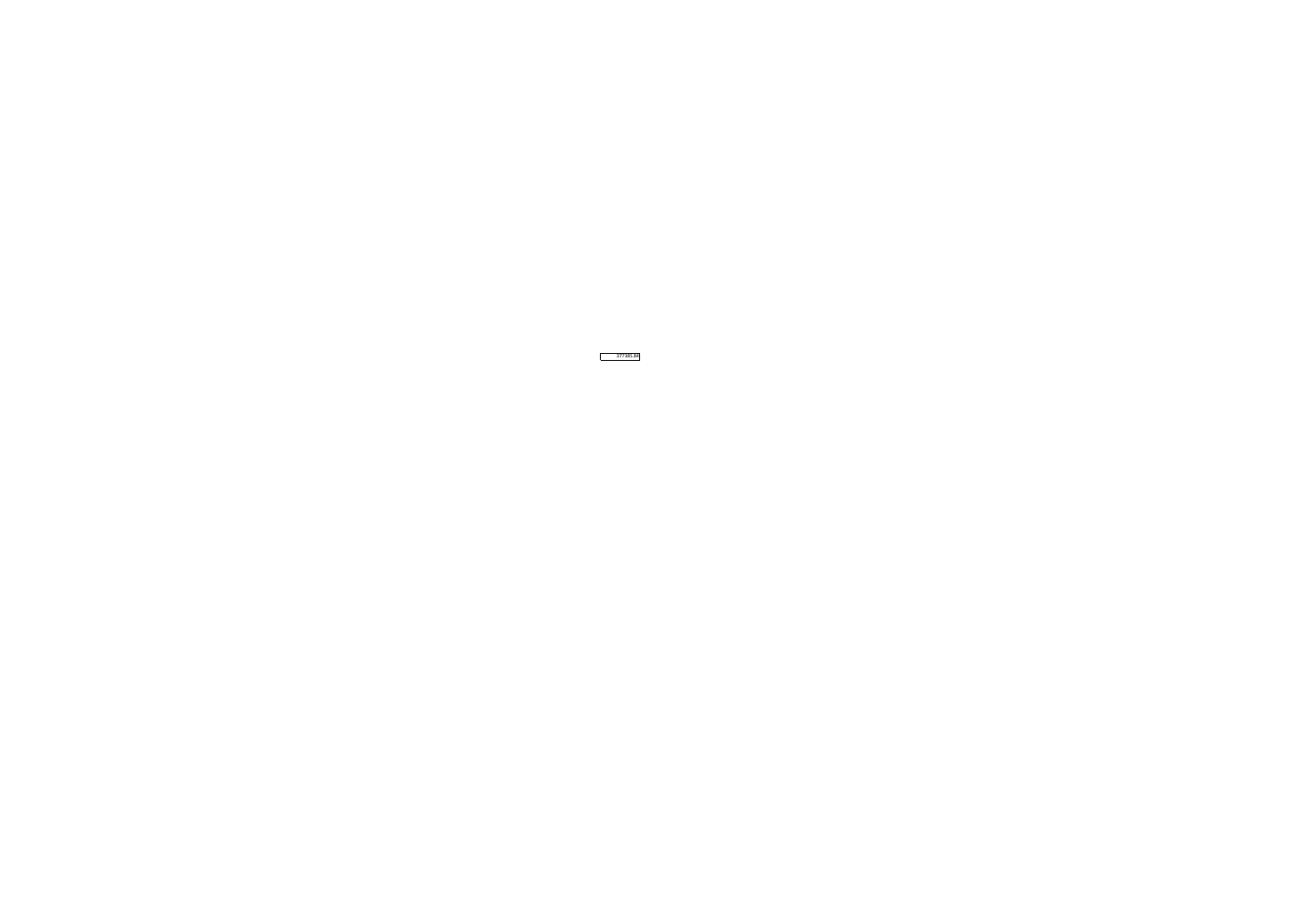377385.84